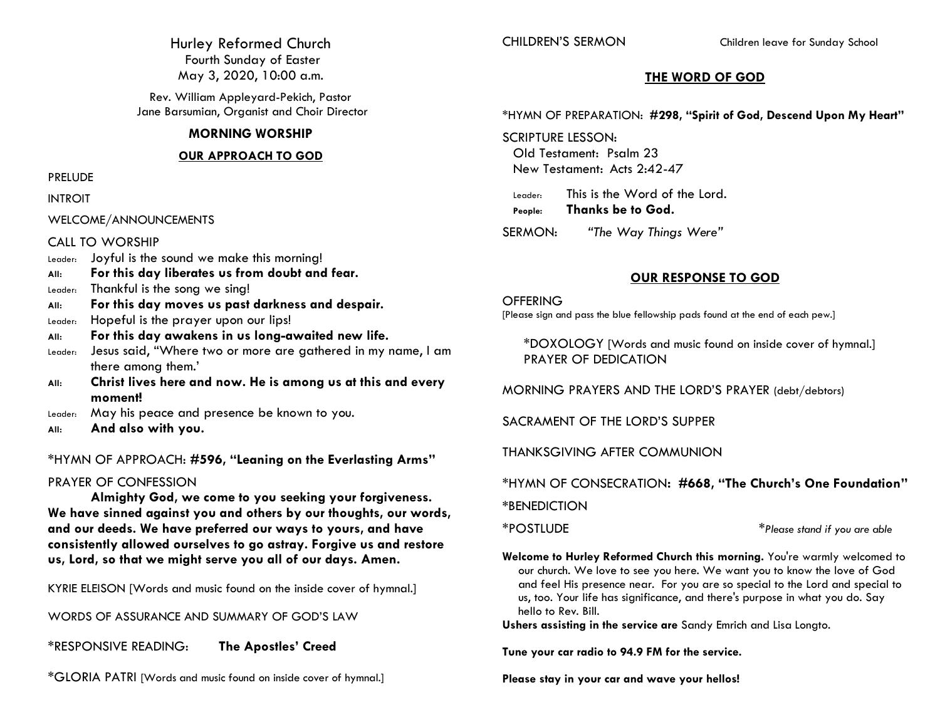Hurley Reformed Church Fourth Sunday of Easter May 3, 2020, 10:00 a.m.

Rev. William Appleyard-Pekich, Pastor Jane Barsumian, Organist and Choir Director

### **MORNING WORSHIP**

### **OUR APPROACH TO GOD**

### PRELUDE

INTROIT

WELCOME/ANNOUNCEMENTS

### CALL TO WORSHIP

- Leader: Joyful is the sound we make this morning!
- **All: For this day liberates us from doubt and fear.**
- Leader: Thankful is the song we sing!
- **All: For this day moves us past darkness and despair.**
- Leader: Hopeful is the prayer upon our lips!
- **All: For this day awakens in us long-awaited new life.**
- Leader: Jesus said, "Where two or more are gathered in my name, I am there among them.'
- **All: Christ lives here and now. He is among us at this and every moment!**
- Leader: May his peace and presence be known to you.
- **All: And also with you.**

\*HYMN OF APPROACH: **#596, "Leaning on the Everlasting Arms"**

### PRAYER OF CONFESSION

**Almighty God, we come to you seeking your forgiveness. We have sinned against you and others by our thoughts, our words, and our deeds. We have preferred our ways to yours, and have consistently allowed ourselves to go astray. Forgive us and restore us, Lord, so that we might serve you all of our days. Amen.**

KYRIE ELEISON [Words and music found on the inside cover of hymnal.]

WORDS OF ASSURANCE AND SUMMARY OF GOD'S LAW

\*RESPONSIVE READING: **The Apostles' Creed**

\*GLORIA PATRI [Words and music found on inside cover of hymnal.]

CHILDREN'S SERMON Children leave for Sunday School

## **THE WORD OF GOD**

\*HYMN OF PREPARATION: **#298, "Spirit of God, Descend Upon My Heart"**

SCRIPTURE LESSON: Old Testament: Psalm 23 New Testament: Acts 2:42-47

Leader: This is the Word of the Lord. **People: Thanks be to God.**

SERMON: *"The Way Things Were"*

## **OUR RESPONSE TO GOD**

**OFFERING** [Please sign and pass the blue fellowship pads found at the end of each pew.]

\*DOXOLOGY [Words and music found on inside cover of hymnal.] PRAYER OF DEDICATION

MORNING PRAYERS AND THE LORD'S PRAYER (debt/debtors)

SACRAMENT OF THE LORD'S SUPPER

THANKSGIVING AFTER COMMUNION

\*HYMN OF CONSECRATION**: #668, "The Church's One Foundation" \***BENEDICTION

\*POSTLUDE \**Please stand if you are able*

**Welcome to Hurley Reformed Church this morning.** You're warmly welcomed to our church. We love to see you here. We want you to know the love of God and feel His presence near. For you are so special to the Lord and special to us, too. Your life has significance, and there's purpose in what you do. Say hello to Rev. Bill.

**Ushers assisting in the service are** Sandy Emrich and Lisa Longto.

**Tune your car radio to 94.9 FM for the service.**

**Please stay in your car and wave your hellos!**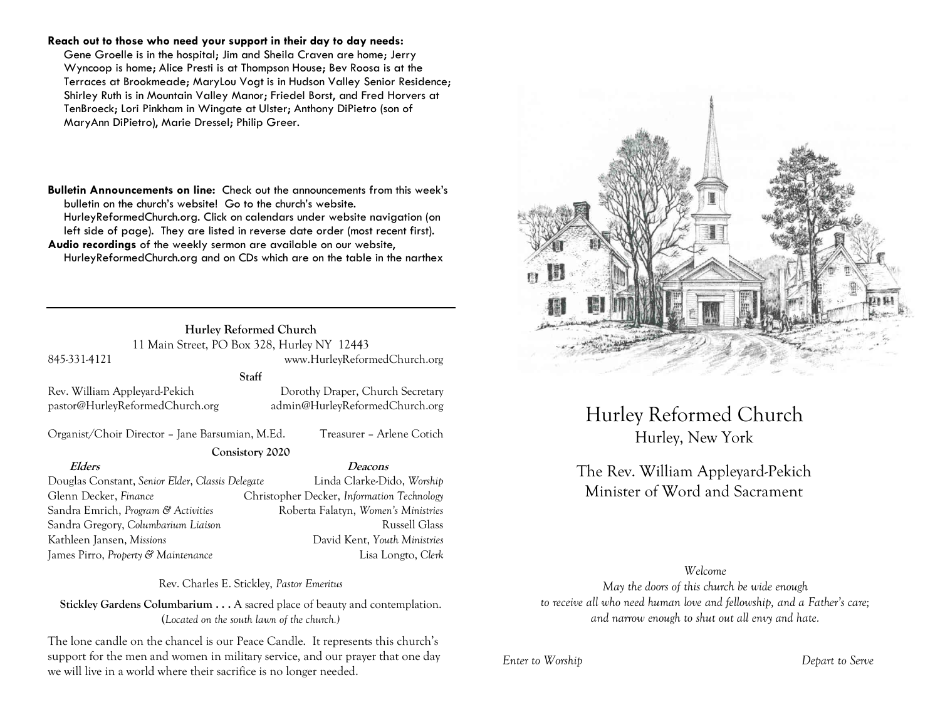#### **Reach out to those who need your support in their day to day needs:**

Gene Groelle is in the hospital; Jim and Sheila Craven are home; Jerry Wyncoop is home; Alice Presti is at Thompson House; Bev Roosa is at the Terraces at Brookmeade; MaryLou Vogt is in Hudson Valley Senior Residence; Shirley Ruth is in Mountain Valley Manor; Friedel Borst, and Fred Horvers at TenBroeck; Lori Pinkham in Wingate at Ulster; Anthony DiPietro (son of MaryAnn DiPietro), Marie Dressel; Philip Greer.

**Bulletin Announcements on line:** Check out the announcements from this week's bulletin on the church's website! Go to the church's website. HurleyReformedChurch.org. Click on calendars under website navigation (on left side of page). They are listed in reverse date order (most recent first). **Audio recordings** of the weekly sermon are available on our website, HurleyReformedChurch.org and on CDs which are on the table in the narthex

#### **Hurley Reformed Church** 11 Main Street, PO Box 328, Hurley NY 12443

845-331-4121 www.HurleyReformedChurch.org

**Staff**

**Consistory 2020**

Rev. William Appleyard-Pekich Dorothy Draper, Church Secretary pastor@HurleyReformedChurch.org admin@HurleyReformedChurch.org

Organist/Choir Director – Jane Barsumian, M.Ed. Treasurer – Arlene Cotich

Douglas Constant, *Senior Elder*, *Classis Delegate* Linda Clarke-Dido, *Worship* Glenn Decker, *Finance* Christopher Decker, *Information Technology* Sandra Emrich, *Program & Activities* Roberta Falatyn, *Women's Ministries* Sandra Gregory, *Columbarium Liaison* **Russell Glass** Russell Glass Kathleen Jansen, *Missions* David Kent, *Youth Ministries*

#### **Elders Deacons**

James Pirro, *Property & Maintenance* Lisa Longto, *Clerk*

Rev. Charles E. Stickley, *Pastor Emeritus*

**Stickley Gardens Columbarium . . .** A sacred place of beauty and contemplation. (*Located on the south lawn of the church.)* 

The lone candle on the chancel is our Peace Candle. It represents this church's support for the men and women in military service, and our prayer that one day we will live in a world where their sacrifice is no longer needed.



Hurley Reformed Church Hurley, New York

# The Rev. William Appleyard-Pekich Minister of Word and Sacrament

### *Welcome*

*May the doors of this church be wide enough to receive all who need human love and fellowship, and a Father's care; and narrow enough to shut out all envy and hate.*

*Enter to Worship Depart to Serve*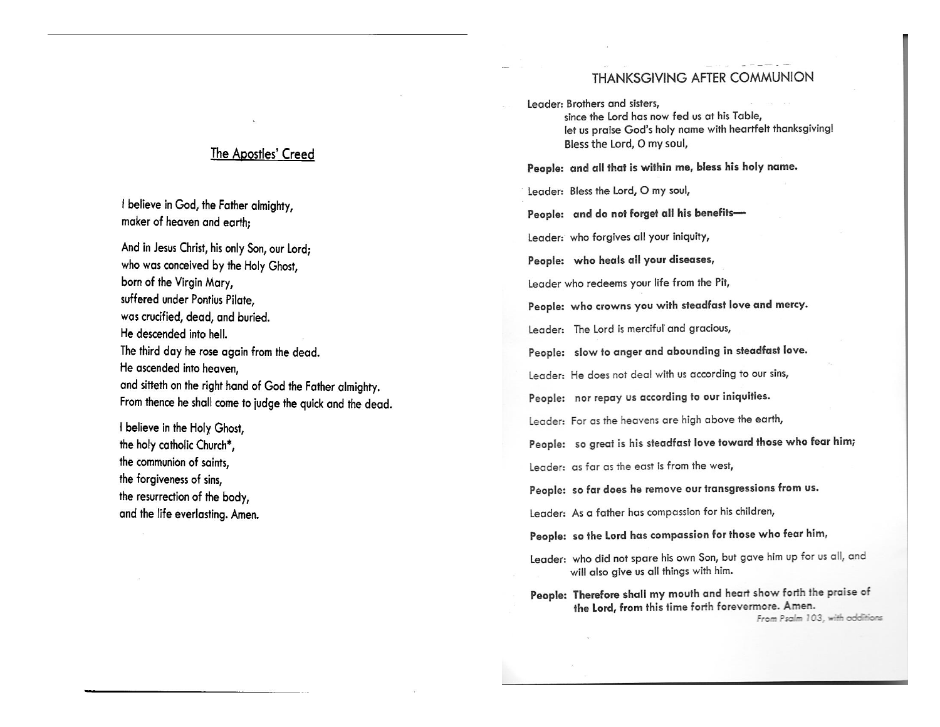## THANKSGIVING AFTER COMMUNION

Leader: Brothers and sisters, since the Lord has now fed us at his Table, let us praise God's holy name with heartfelt thanksgiving! Bless the Lord, O my soul,

People: and all that is within me, bless his holy name.

Leader: Bless the Lord, O my soul,

People: and do not forget all his benefits-

Leader: who forgives all your iniquity,

People: who heals all your diseases,

Leader who redeems your life from the Pit,

People: who crowns you with steadfast love and mercy.

Leader: The Lord is merciful and gracious,

People: slow to anger and abounding in steadfast love.

Leader: He does not deal with us according to our sins,

People: nor repay us according to our iniquities.

Leader: For as the heavens are high above the earth,

People: so great is his steadfast love toward those who fear him;

Leader: as far as the east is from the west,

People: so far does he remove our transgressions from us.

Leader: As a father has compassion for his children,

People: so the Lord has compassion for those who fear him,

Leader: who did not spare his own Son, but gave him up for us all, and will also give us all things with him.

People: Therefore shall my mouth and heart show forth the praise of the Lord, from this time forth forevermore. Amen.

From Psalm 103, with additions

## The Apostles' Creed

I believe in God, the Father almighty, maker of heaven and earth;

And in Jesus Christ, his only Son, our Lord: who was conceived by the Holy Ghost, born of the Virgin Mary, suffered under Pontius Pilate, was crucified, dead, and buried. He descended into hell. The third day he rose again from the dead. He ascended into heaven. and sitteth on the right hand of God the Father almighty. From thence he shall come to judge the quick and the dead.

I believe in the Holy Ghost, the holy catholic Church\*, the communion of saints. the forgiveness of sins, the resurrection of the body, and the life everlasting. Amen.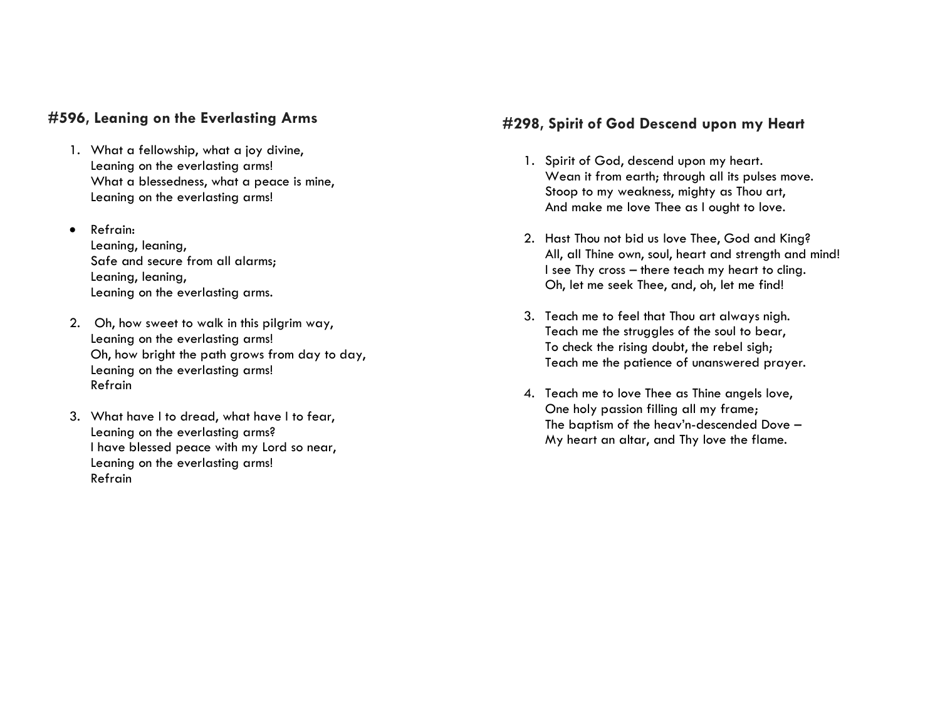## **#596, Leaning on the Everlasting Arms**

- 1. What a fellowship, what a joy divine, Leaning on the everlasting arms! What a blessedness, what a peace is mine, Leaning on the everlasting arms!
- Refrain:

Leaning, leaning, Safe and secure from all alarms; Leaning, leaning, Leaning on the everlasting arms.

- 2. Oh, how sweet to walk in this pilgrim way, Leaning on the everlasting arms! Oh, how bright the path grows from day to day, Leaning on the everlasting arms! Refrain
- 3. What have I to dread, what have I to fear, Leaning on the everlasting arms? I have blessed peace with my Lord so near, Leaning on the everlasting arms! Refrain

## **#298, Spirit of God Descend upon my Heart**

- 1. Spirit of God, descend upon my heart. Wean it from earth; through all its pulses move. Stoop to my weakness, mighty as Thou art, And make me love Thee as I ought to love.
- 2. Hast Thou not bid us love Thee, God and King? All, all Thine own, soul, heart and strength and mind! I see Thy cross – there teach my heart to cling. Oh, let me seek Thee, and, oh, let me find!
- 3. Teach me to feel that Thou art always nigh. Teach me the struggles of the soul to bear, To check the rising doubt, the rebel sigh; Teach me the patience of unanswered prayer.
- 4. Teach me to love Thee as Thine angels love, One holy passion filling all my frame; The baptism of the heav'n-descended Dove – My heart an altar, and Thy love the flame.